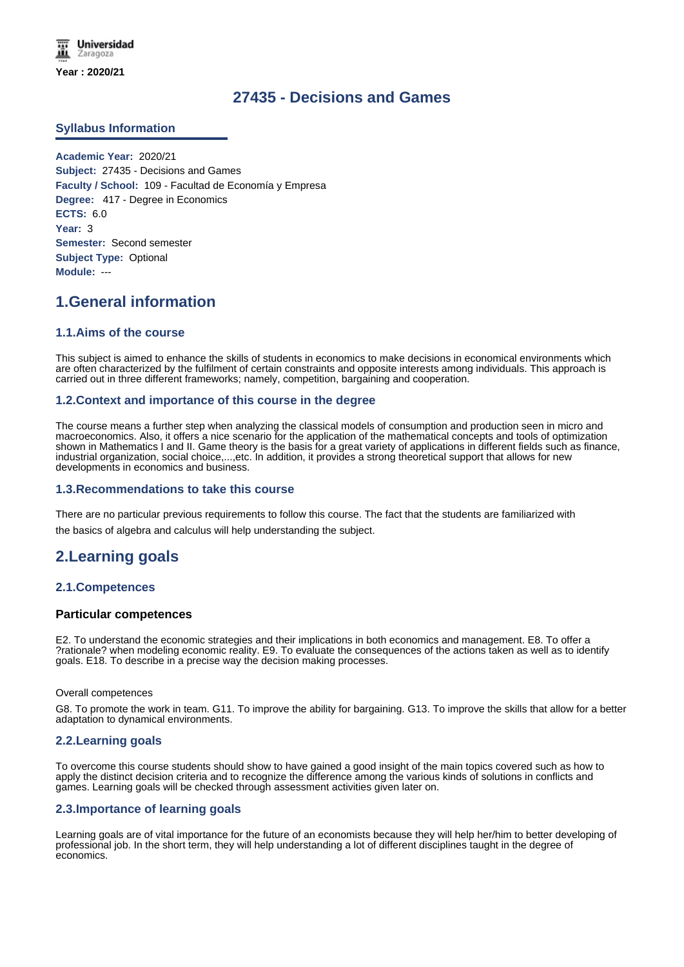# **27435 - Decisions and Games**

# **Syllabus Information**

**Academic Year:** 2020/21 **Subject:** 27435 - Decisions and Games **Faculty / School:** 109 - Facultad de Economía y Empresa **Degree:** 417 - Degree in Economics **ECTS:** 6.0 **Year:** 3 **Semester:** Second semester **Subject Type:** Optional **Module:** ---

# **1.General information**

# **1.1.Aims of the course**

This subject is aimed to enhance the skills of students in economics to make decisions in economical environments which are often characterized by the fulfilment of certain constraints and opposite interests among individuals. This approach is carried out in three different frameworks; namely, competition, bargaining and cooperation.

# **1.2.Context and importance of this course in the degree**

The course means a further step when analyzing the classical models of consumption and production seen in micro and macroeconomics. Also, it offers a nice scenario for the application of the mathematical concepts and tools of optimization shown in Mathematics I and II. Game theory is the basis for a great variety of applications in different fields such as finance, industrial organization, social choice,...,etc. In addition, it provides a strong theoretical support that allows for new developments in economics and business.

#### **1.3.Recommendations to take this course**

There are no particular previous requirements to follow this course. The fact that the students are familiarized with the basics of algebra and calculus will help understanding the subject.

# **2.Learning goals**

# **2.1.Competences**

# **Particular competences**

E2. To understand the economic strategies and their implications in both economics and management. E8. To offer a ?rationale? when modeling economic reality. E9. To evaluate the consequences of the actions taken as well as to identify goals. E18. To describe in a precise way the decision making processes.

#### Overall competences

G8. To promote the work in team. G11. To improve the ability for bargaining. G13. To improve the skills that allow for a better adaptation to dynamical environments.

#### **2.2.Learning goals**

To overcome this course students should show to have gained a good insight of the main topics covered such as how to apply the distinct decision criteria and to recognize the difference among the various kinds of solutions in conflicts and games. Learning goals will be checked through assessment activities given later on.

# **2.3.Importance of learning goals**

Learning goals are of vital importance for the future of an economists because they will help her/him to better developing of professional job. In the short term, they will help understanding a lot of different disciplines taught in the degree of economics.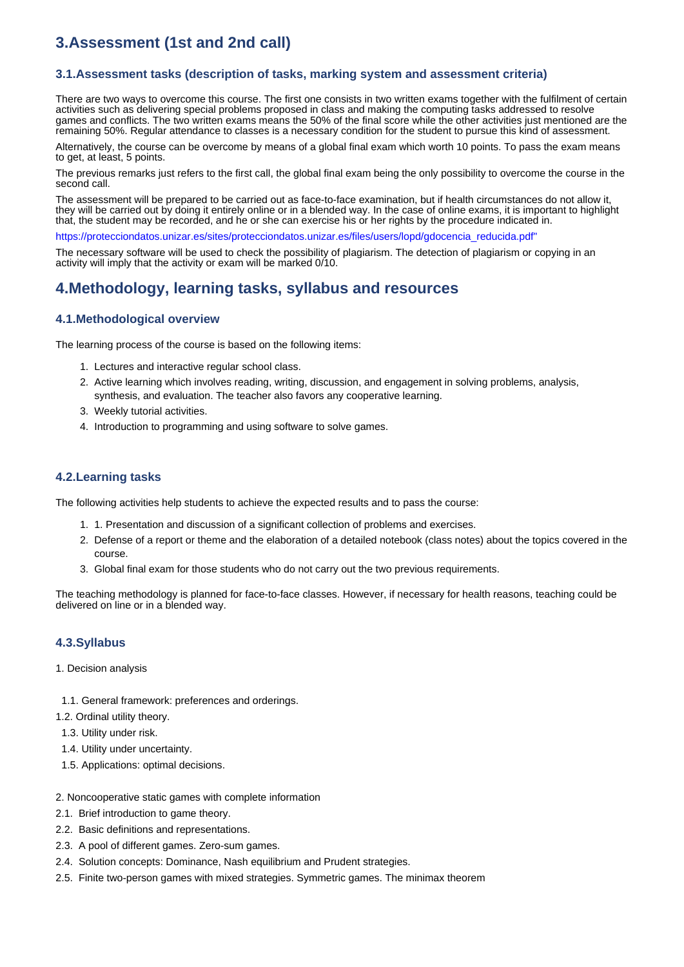# **3.Assessment (1st and 2nd call)**

# **3.1.Assessment tasks (description of tasks, marking system and assessment criteria)**

There are two ways to overcome this course. The first one consists in two written exams together with the fulfilment of certain activities such as delivering special problems proposed in class and making the computing tasks addressed to resolve games and conflicts. The two written exams means the 50% of the final score while the other activities just mentioned are the remaining 50%. Regular attendance to classes is a necessary condition for the student to pursue this kind of assessment.

Alternatively, the course can be overcome by means of a global final exam which worth 10 points. To pass the exam means to get, at least, 5 points.

The previous remarks just refers to the first call, the global final exam being the only possibility to overcome the course in the second call.

The assessment will be prepared to be carried out as face-to-face examination, but if health circumstances do not allow it, they will be carried out by doing it entirely online or in a blended way. In the case of online exams, it is important to highlight that, the student may be recorded, and he or she can exercise his or her rights by the procedure indicated in.

https://protecciondatos.unizar.es/sites/protecciondatos.unizar.es/files/users/lopd/gdocencia\_reducida.pdf"

The necessary software will be used to check the possibility of plagiarism. The detection of plagiarism or copying in an activity will imply that the activity or exam will be marked 0/10.

# **4.Methodology, learning tasks, syllabus and resources**

# **4.1.Methodological overview**

The learning process of the course is based on the following items:

- 1. Lectures and interactive regular school class.
- 2. Active learning which involves reading, writing, discussion, and engagement in solving problems, analysis, synthesis, and evaluation. The teacher also favors any cooperative learning.
- 3. Weekly tutorial activities.
- 4. Introduction to programming and using software to solve games.

### **4.2.Learning tasks**

The following activities help students to achieve the expected results and to pass the course:

- 1. 1. Presentation and discussion of a significant collection of problems and exercises.
- 2. Defense of a report or theme and the elaboration of a detailed notebook (class notes) about the topics covered in the course.
- 3. Global final exam for those students who do not carry out the two previous requirements.

The teaching methodology is planned for face-to-face classes. However, if necessary for health reasons, teaching could be delivered on line or in a blended way.

#### **4.3.Syllabus**

- 1. Decision analysis
- 1.1. General framework: preferences and orderings.
- 1.2. Ordinal utility theory.
- 1.3. Utility under risk.
- 1.4. Utility under uncertainty.
- 1.5. Applications: optimal decisions.
- 2. Noncooperative static games with complete information
- 2.1. Brief introduction to game theory.
- 2.2. Basic definitions and representations.
- 2.3. A pool of different games. Zero-sum games.
- 2.4. Solution concepts: Dominance, Nash equilibrium and Prudent strategies.
- 2.5. Finite two-person games with mixed strategies. Symmetric games. The minimax theorem